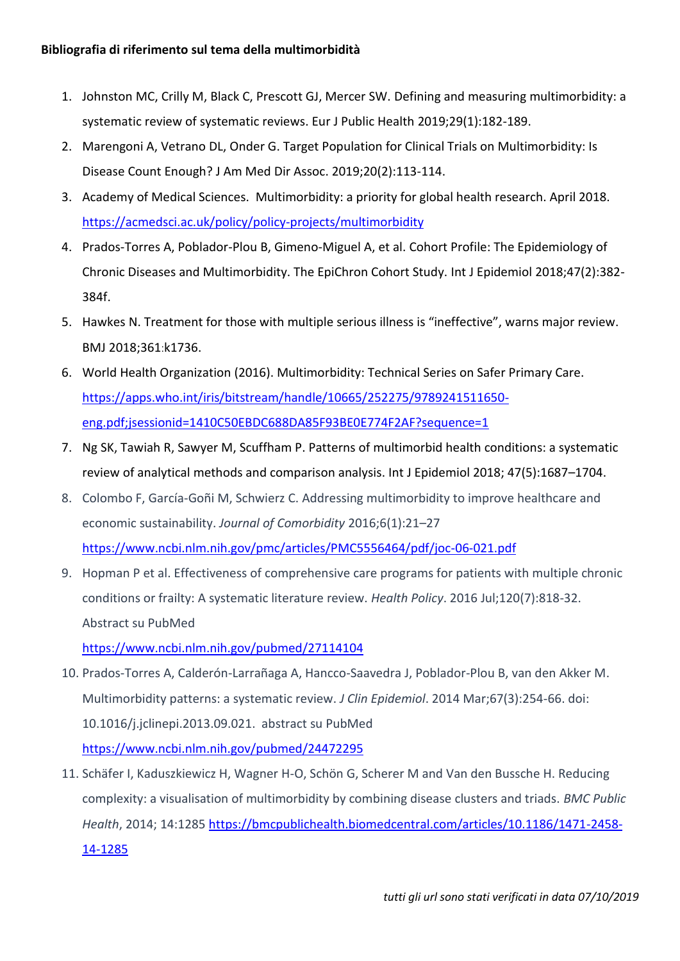- 1. Johnston MC, Crilly M, Black C, Prescott GJ, Mercer SW. [Defining and measuring multimorbidity: a](https://www.ncbi.nlm.nih.gov/pubmed/29878097)  [systematic review of systematic reviews.](https://www.ncbi.nlm.nih.gov/pubmed/29878097) Eur J Public Health 2019;29(1):182-189.
- 2. Marengoni A, [Vetrano DL,](https://www.ncbi.nlm.nih.gov/pubmed/?term=Vetrano%20DL%5BAuthor%5D&cauthor=true&cauthor_uid=30503590) [Onder G.](https://www.ncbi.nlm.nih.gov/pubmed/?term=Onder%20G%5BAuthor%5D&cauthor=true&cauthor_uid=30503590) Target Population for Clinical Trials on Multimorbidity: Is Disease Count Enough? [J Am Med Dir Assoc.](https://www.ncbi.nlm.nih.gov/pubmed/30503590) 2019;20(2):113-114.
- 3. Academy of Medical Sciences. Multimorbidity: a priority for global health research. April 2018. <https://acmedsci.ac.uk/policy/policy-projects/multimorbidity>
- 4. Prados-Torres A, Poblador-Plou B, Gimeno-Miguel A, et al. [Cohort Profile: The Epidemiology of](https://www.ncbi.nlm.nih.gov/pubmed/29346556)  [Chronic Diseases and Multimorbidity. The EpiChron Cohort Study.](https://www.ncbi.nlm.nih.gov/pubmed/29346556) Int J Epidemiol 2018;47(2):382- 384f.
- 5. Hawkes N. Treatment for those with multiple serious illness is "ineffective", warns major review. BMJ 2018;361:k1736.
- 6. World Health Organization (2016). Multimorbidity: Technical Series on Safer Primary Care. [https://apps.who.int/iris/bitstream/handle/10665/252275/9789241511650](https://apps.who.int/iris/bitstream/handle/10665/252275/9789241511650-eng.pdf;jsessionid=1410C50EBDC688DA85F93BE0E774F2AF?sequence=1) [eng.pdf;jsessionid=1410C50EBDC688DA85F93BE0E774F2AF?sequence=1](https://apps.who.int/iris/bitstream/handle/10665/252275/9789241511650-eng.pdf;jsessionid=1410C50EBDC688DA85F93BE0E774F2AF?sequence=1)
- 7. [Ng SK,](https://www.ncbi.nlm.nih.gov/pubmed/?term=Ng%20SK%5BAuthor%5D&cauthor=true&cauthor_uid=30016472) [Tawiah R,](https://www.ncbi.nlm.nih.gov/pubmed/?term=Tawiah%20R%5BAuthor%5D&cauthor=true&cauthor_uid=30016472) [Sawyer M,](https://www.ncbi.nlm.nih.gov/pubmed/?term=Sawyer%20M%5BAuthor%5D&cauthor=true&cauthor_uid=30016472) [Scuffham P.](https://www.ncbi.nlm.nih.gov/pubmed/?term=Scuffham%20P%5BAuthor%5D&cauthor=true&cauthor_uid=30016472) Patterns of multimorbid health conditions: a systematic review of analytical methods and comparison analysis. Int J Epidemiol 2018; 47(5):1687–1704.
- 8. Colombo F, García-Goñi M, Schwierz C. Addressing multimorbidity to improve healthcare and economic sustainability. *Journal of Comorbidity* 2016;6(1):21–27 <https://www.ncbi.nlm.nih.gov/pmc/articles/PMC5556464/pdf/joc-06-021.pdf>
- 9. Hopman P et al. Effectiveness of comprehensive care programs for patients with multiple chronic conditions or frailty: A systematic literature review. *Health Policy*. 2016 Jul;120(7):818-32. Abstract su PubMed

<https://www.ncbi.nlm.nih.gov/pubmed/27114104>

- 10. Prados-Torres A, Calderón-Larrañaga A, Hancco-Saavedra J, Poblador-Plou B, van den Akker [M.](https://www.ncbi.nlm.nih.gov/pubmed/24472295)  [Multimorbidity patterns: a systematic review.](https://www.ncbi.nlm.nih.gov/pubmed/24472295) *J Clin Epidemiol*. 2014 Mar;67(3):254-66. doi: 10.1016/j.jclinepi.2013.09.021. abstract su PubMed <https://www.ncbi.nlm.nih.gov/pubmed/24472295>
- 11. Schäfer I, Kaduszkiewicz H, Wagner H-O, Schön G, Scherer M and Van den Bussche H. Reducing complexity: a visualisation of multimorbidity by combining disease clusters and triads. *BMC Public Health*, 2014; 14:128[5 https://bmcpublichealth.biomedcentral.com/articles/10.1186/1471-2458-](https://bmcpublichealth.biomedcentral.com/articles/10.1186/1471-2458-14-1285) [14-1285](https://bmcpublichealth.biomedcentral.com/articles/10.1186/1471-2458-14-1285)